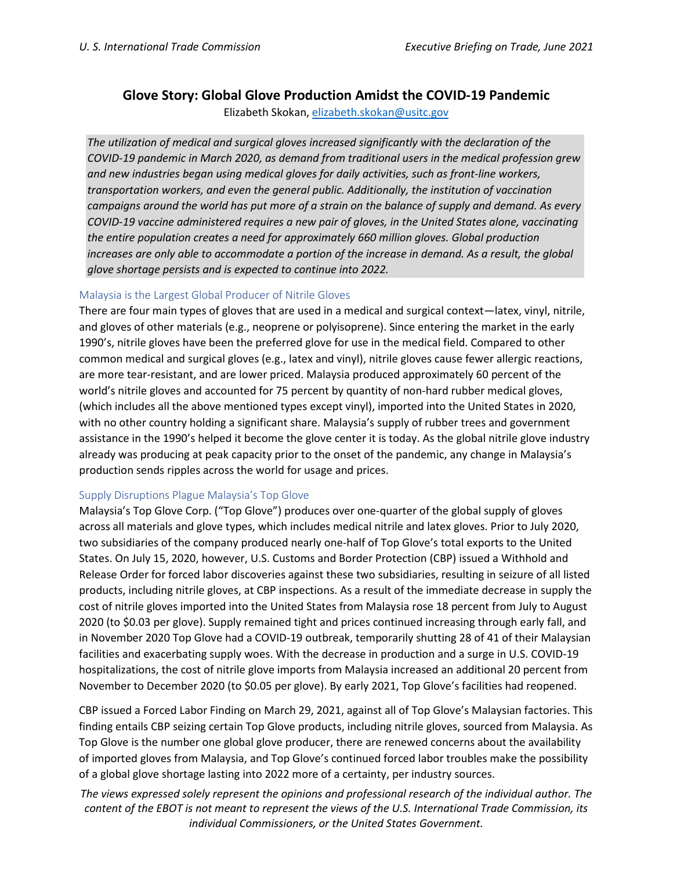# **Glove Story: Global Glove Production Amidst the COVID-19 Pandemic**

Elizabeth Skokan, [elizabeth.skokan@usitc.gov](mailto:elizabeth.skokan@usitc.gov)

*The utilization of medical and surgical gloves increased significantly with the declaration of the COVID-19 pandemic in March 2020, as demand from traditional users in the medical profession grew and new industries began using medical gloves for daily activities, such as front-line workers, transportation workers, and even the general public. Additionally, the institution of vaccination campaigns around the world has put more of a strain on the balance of supply and demand. As every COVID-19 vaccine administered requires a new pair of gloves, in the United States alone, vaccinating the entire population creates a need for approximately 660 million gloves. Global production increases are only able to accommodate a portion of the increase in demand. As a result, the global glove shortage persists and is expected to continue into 2022.*

## Malaysia is the Largest Global Producer of Nitrile Gloves

There are four main types of gloves that are used in a medical and surgical context—latex, vinyl, nitrile, and gloves of other materials (e.g., neoprene or polyisoprene). Since entering the market in the early 1990's, nitrile gloves have been the preferred glove for use in the medical field. Compared to other common medical and surgical gloves (e.g., latex and vinyl), nitrile gloves cause fewer allergic reactions, are more tear-resistant, and are lower priced. Malaysia produced approximately 60 percent of the world's nitrile gloves and accounted for 75 percent by quantity of non-hard rubber medical gloves, (which includes all the above mentioned types except vinyl), imported into the United States in 2020, with no other country holding a significant share. Malaysia's supply of rubber trees and government assistance in the 1990's helped it become the glove center it is today. As the global nitrile glove industry already was producing at peak capacity prior to the onset of the pandemic, any change in Malaysia's production sends ripples across the world for usage and prices.

## Supply Disruptions Plague Malaysia's Top Glove

Malaysia's Top Glove Corp. ("Top Glove") produces over one-quarter of the global supply of gloves across all materials and glove types, which includes medical nitrile and latex gloves. Prior to July 2020, two subsidiaries of the company produced nearly one-half of Top Glove's total exports to the United States. On July 15, 2020, however, U.S. Customs and Border Protection (CBP) issued a Withhold and Release Order for forced labor discoveries against these two subsidiaries, resulting in seizure of all listed products, including nitrile gloves, at CBP inspections. As a result of the immediate decrease in supply the cost of nitrile gloves imported into the United States from Malaysia rose 18 percent from July to August 2020 (to \$0.03 per glove). Supply remained tight and prices continued increasing through early fall, and in November 2020 Top Glove had a COVID-19 outbreak, temporarily shutting 28 of 41 of their Malaysian facilities and exacerbating supply woes. With the decrease in production and a surge in U.S. COVID-19 hospitalizations, the cost of nitrile glove imports from Malaysia increased an additional 20 percent from November to December 2020 (to \$0.05 per glove). By early 2021, Top Glove's facilities had reopened.

CBP issued a Forced Labor Finding on March 29, 2021, against all of Top Glove's Malaysian factories. This finding entails CBP seizing certain Top Glove products, including nitrile gloves, sourced from Malaysia. As Top Glove is the number one global glove producer, there are renewed concerns about the availability of imported gloves from Malaysia, and Top Glove's continued forced labor troubles make the possibility of a global glove shortage lasting into 2022 more of a certainty, per industry sources.

*The views expressed solely represent the opinions and professional research of the individual author. The content of the EBOT is not meant to represent the views of the U.S. International Trade Commission, its individual Commissioners, or the United States Government.*